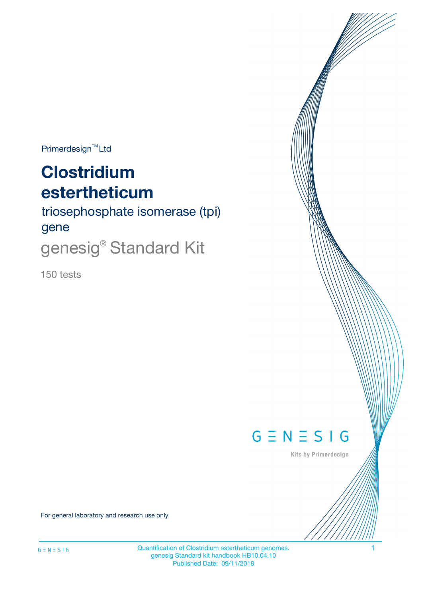$Primerdesign^{\text{TM}}Ltd$ 

# **Clostridium estertheticum**

triosephosphate isomerase (tpi) gene

genesig<sup>®</sup> Standard Kit

150 tests



Kits by Primerdesign

For general laboratory and research use only

Quantification of Clostridium estertheticum genomes. 1 genesig Standard kit handbook HB10.04.10 Published Date: 09/11/2018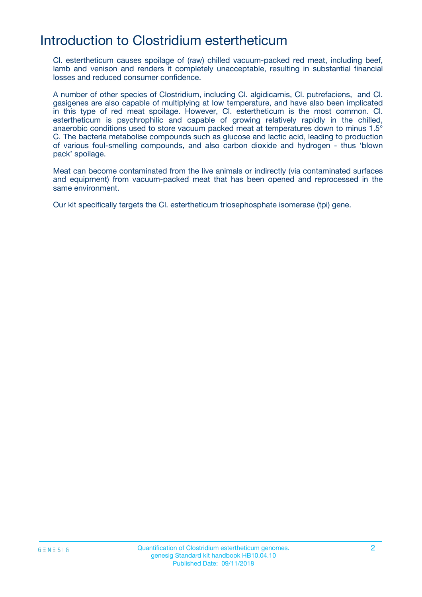### Introduction to Clostridium estertheticum

Cl. estertheticum causes spoilage of (raw) chilled vacuum-packed red meat, including beef, lamb and venison and renders it completely unacceptable, resulting in substantial financial losses and reduced consumer confidence.

A number of other species of Clostridium, including Cl. algidicarnis, Cl. putrefaciens, and Cl. gasigenes are also capable of multiplying at low temperature, and have also been implicated in this type of red meat spoilage. However, Cl. estertheticum is the most common. Cl. estertheticum is psychrophilic and capable of growing relatively rapidly in the chilled, anaerobic conditions used to store vacuum packed meat at temperatures down to minus 1.5° C. The bacteria metabolise compounds such as glucose and lactic acid, leading to production of various foul-smelling compounds, and also carbon dioxide and hydrogen - thus 'blown pack' spoilage.

Meat can become contaminated from the live animals or indirectly (via contaminated surfaces and equipment) from vacuum-packed meat that has been opened and reprocessed in the same environment.

Our kit specifically targets the Cl. estertheticum triosephosphate isomerase (tpi) gene.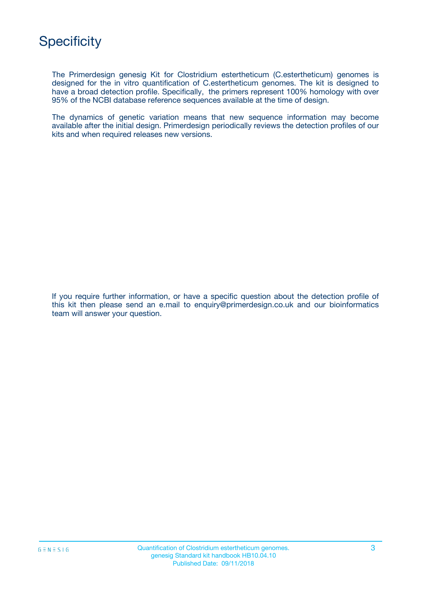The Primerdesign genesig Kit for Clostridium estertheticum (C.estertheticum) genomes is designed for the in vitro quantification of C.estertheticum genomes. The kit is designed to have a broad detection profile. Specifically, the primers represent 100% homology with over 95% of the NCBI database reference sequences available at the time of design.

The dynamics of genetic variation means that new sequence information may become available after the initial design. Primerdesign periodically reviews the detection profiles of our kits and when required releases new versions.

If you require further information, or have a specific question about the detection profile of this kit then please send an e.mail to enquiry@primerdesign.co.uk and our bioinformatics team will answer your question.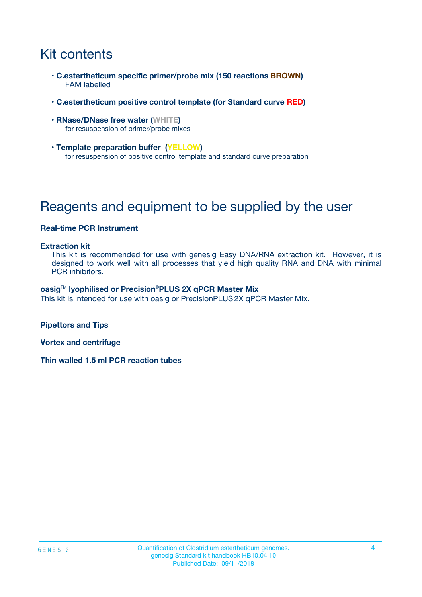# Kit contents

- **C.estertheticum specific primer/probe mix (150 reactions BROWN)** FAM labelled
- **C.estertheticum positive control template (for Standard curve RED)**
- **RNase/DNase free water (WHITE)** for resuspension of primer/probe mixes
- **Template preparation buffer (YELLOW)** for resuspension of positive control template and standard curve preparation

# Reagents and equipment to be supplied by the user

#### **Real-time PCR Instrument**

#### **Extraction kit**

This kit is recommended for use with genesig Easy DNA/RNA extraction kit. However, it is designed to work well with all processes that yield high quality RNA and DNA with minimal PCR inhibitors.

#### **oasig**TM **lyophilised or Precision**®**PLUS 2X qPCR Master Mix**

This kit is intended for use with oasig or PrecisionPLUS2X qPCR Master Mix.

**Pipettors and Tips**

**Vortex and centrifuge**

**Thin walled 1.5 ml PCR reaction tubes**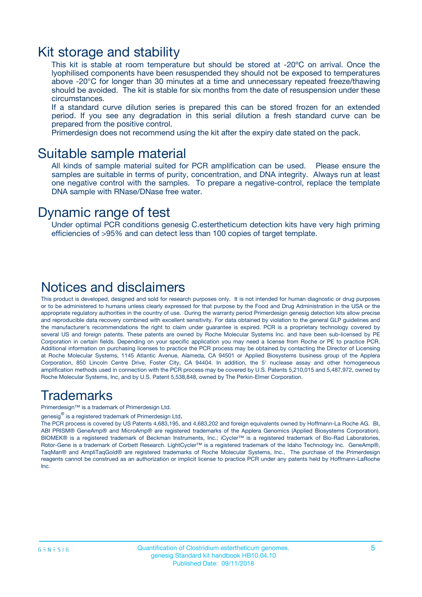### Kit storage and stability

This kit is stable at room temperature but should be stored at -20ºC on arrival. Once the lyophilised components have been resuspended they should not be exposed to temperatures above -20°C for longer than 30 minutes at a time and unnecessary repeated freeze/thawing should be avoided. The kit is stable for six months from the date of resuspension under these circumstances.

If a standard curve dilution series is prepared this can be stored frozen for an extended period. If you see any degradation in this serial dilution a fresh standard curve can be prepared from the positive control.

Primerdesign does not recommend using the kit after the expiry date stated on the pack.

### Suitable sample material

All kinds of sample material suited for PCR amplification can be used. Please ensure the samples are suitable in terms of purity, concentration, and DNA integrity. Always run at least one negative control with the samples. To prepare a negative-control, replace the template DNA sample with RNase/DNase free water.

### Dynamic range of test

Under optimal PCR conditions genesig C.estertheticum detection kits have very high priming efficiencies of >95% and can detect less than 100 copies of target template.

### Notices and disclaimers

This product is developed, designed and sold for research purposes only. It is not intended for human diagnostic or drug purposes or to be administered to humans unless clearly expressed for that purpose by the Food and Drug Administration in the USA or the appropriate regulatory authorities in the country of use. During the warranty period Primerdesign genesig detection kits allow precise and reproducible data recovery combined with excellent sensitivity. For data obtained by violation to the general GLP guidelines and the manufacturer's recommendations the right to claim under guarantee is expired. PCR is a proprietary technology covered by several US and foreign patents. These patents are owned by Roche Molecular Systems Inc. and have been sub-licensed by PE Corporation in certain fields. Depending on your specific application you may need a license from Roche or PE to practice PCR. Additional information on purchasing licenses to practice the PCR process may be obtained by contacting the Director of Licensing at Roche Molecular Systems, 1145 Atlantic Avenue, Alameda, CA 94501 or Applied Biosystems business group of the Applera Corporation, 850 Lincoln Centre Drive, Foster City, CA 94404. In addition, the 5' nuclease assay and other homogeneous amplification methods used in connection with the PCR process may be covered by U.S. Patents 5,210,015 and 5,487,972, owned by Roche Molecular Systems, Inc, and by U.S. Patent 5,538,848, owned by The Perkin-Elmer Corporation.

### Trademarks

Primerdesign™ is a trademark of Primerdesign Ltd.

genesig $^\circledR$  is a registered trademark of Primerdesign Ltd.

The PCR process is covered by US Patents 4,683,195, and 4,683,202 and foreign equivalents owned by Hoffmann-La Roche AG. BI, ABI PRISM® GeneAmp® and MicroAmp® are registered trademarks of the Applera Genomics (Applied Biosystems Corporation). BIOMEK® is a registered trademark of Beckman Instruments, Inc.; iCycler™ is a registered trademark of Bio-Rad Laboratories, Rotor-Gene is a trademark of Corbett Research. LightCycler™ is a registered trademark of the Idaho Technology Inc. GeneAmp®, TaqMan® and AmpliTaqGold® are registered trademarks of Roche Molecular Systems, Inc., The purchase of the Primerdesign reagents cannot be construed as an authorization or implicit license to practice PCR under any patents held by Hoffmann-LaRoche Inc.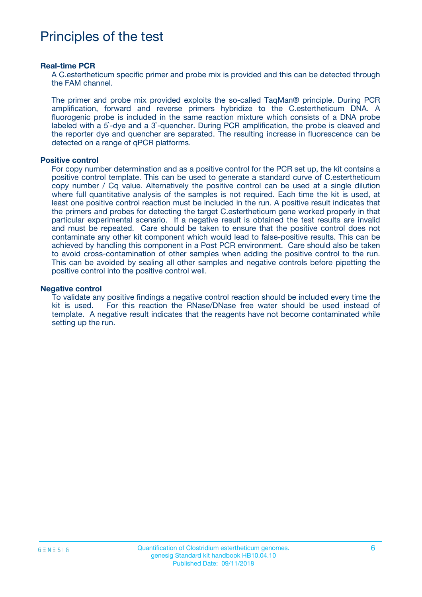# Principles of the test

#### **Real-time PCR**

A C.estertheticum specific primer and probe mix is provided and this can be detected through the FAM channel.

The primer and probe mix provided exploits the so-called TaqMan® principle. During PCR amplification, forward and reverse primers hybridize to the C.estertheticum DNA. A fluorogenic probe is included in the same reaction mixture which consists of a DNA probe labeled with a 5`-dye and a 3`-quencher. During PCR amplification, the probe is cleaved and the reporter dye and quencher are separated. The resulting increase in fluorescence can be detected on a range of qPCR platforms.

#### **Positive control**

For copy number determination and as a positive control for the PCR set up, the kit contains a positive control template. This can be used to generate a standard curve of C.estertheticum copy number / Cq value. Alternatively the positive control can be used at a single dilution where full quantitative analysis of the samples is not required. Each time the kit is used, at least one positive control reaction must be included in the run. A positive result indicates that the primers and probes for detecting the target C.estertheticum gene worked properly in that particular experimental scenario. If a negative result is obtained the test results are invalid and must be repeated. Care should be taken to ensure that the positive control does not contaminate any other kit component which would lead to false-positive results. This can be achieved by handling this component in a Post PCR environment. Care should also be taken to avoid cross-contamination of other samples when adding the positive control to the run. This can be avoided by sealing all other samples and negative controls before pipetting the positive control into the positive control well.

#### **Negative control**

To validate any positive findings a negative control reaction should be included every time the kit is used. For this reaction the RNase/DNase free water should be used instead of template. A negative result indicates that the reagents have not become contaminated while setting up the run.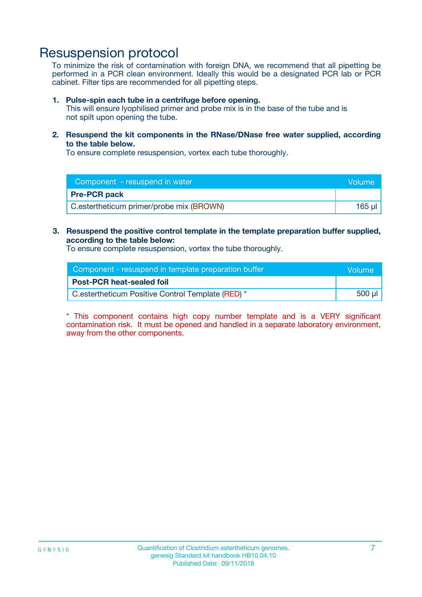## Resuspension protocol

To minimize the risk of contamination with foreign DNA, we recommend that all pipetting be performed in a PCR clean environment. Ideally this would be a designated PCR lab or PCR cabinet. Filter tips are recommended for all pipetting steps.

#### **1. Pulse-spin each tube in a centrifuge before opening.**

This will ensure lyophilised primer and probe mix is in the base of the tube and is not spilt upon opening the tube.

**2. Resuspend the kit components in the RNase/DNase free water supplied, according to the table below.**

To ensure complete resuspension, vortex each tube thoroughly.

| Component - resuspend in water           | Volume |
|------------------------------------------|--------|
| <b>Pre-PCR pack</b>                      |        |
| C.estertheticum primer/probe mix (BROWN) | 165 ul |

### **3. Resuspend the positive control template in the template preparation buffer supplied, according to the table below:**

To ensure complete resuspension, vortex the tube thoroughly.

| Component - resuspend in template preparation buffer | lVolume' |
|------------------------------------------------------|----------|
| <b>Post-PCR heat-sealed foil</b>                     |          |
| C.estertheticum Positive Control Template (RED) *    | 500 µl   |

\* This component contains high copy number template and is a VERY significant contamination risk. It must be opened and handled in a separate laboratory environment, away from the other components.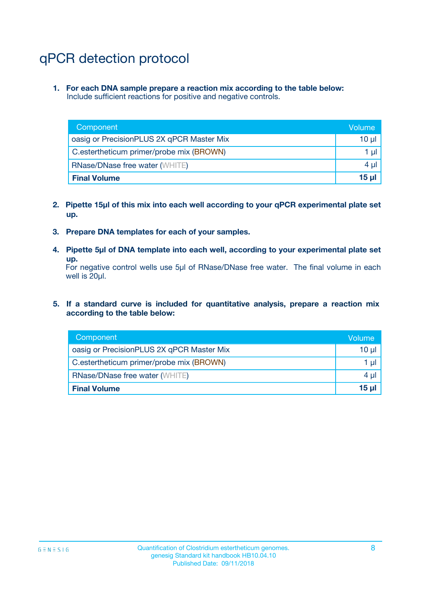# qPCR detection protocol

**1. For each DNA sample prepare a reaction mix according to the table below:** Include sufficient reactions for positive and negative controls.

| Component                                 | Volume   |
|-------------------------------------------|----------|
| oasig or PrecisionPLUS 2X qPCR Master Mix | $10 \mu$ |
| C.estertheticum primer/probe mix (BROWN)  | 1 µl     |
| <b>RNase/DNase free water (WHITE)</b>     | $4 \mu$  |
| <b>Final Volume</b>                       | $15 \mu$ |

- **2. Pipette 15µl of this mix into each well according to your qPCR experimental plate set up.**
- **3. Prepare DNA templates for each of your samples.**
- **4. Pipette 5µl of DNA template into each well, according to your experimental plate set up.**

For negative control wells use 5µl of RNase/DNase free water. The final volume in each well is 20µl.

**5. If a standard curve is included for quantitative analysis, prepare a reaction mix according to the table below:**

| Component                                 | Volume  |
|-------------------------------------------|---------|
| oasig or PrecisionPLUS 2X qPCR Master Mix | 10 µl   |
| C.estertheticum primer/probe mix (BROWN)  | 1 µI    |
| <b>RNase/DNase free water (WHITE)</b>     | $4 \mu$ |
| <b>Final Volume</b>                       | 15 µl   |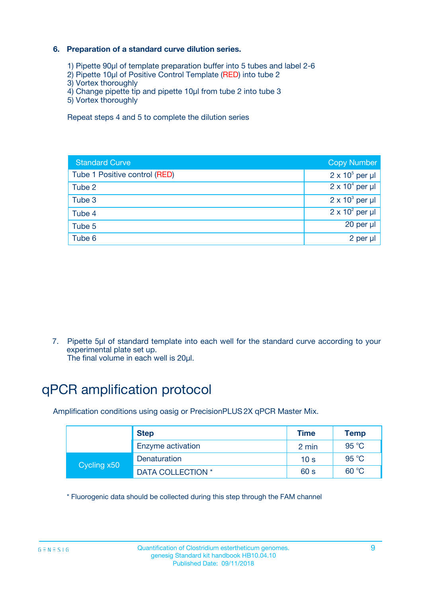### **6. Preparation of a standard curve dilution series.**

- 1) Pipette 90µl of template preparation buffer into 5 tubes and label 2-6
- 2) Pipette 10µl of Positive Control Template (RED) into tube 2
- 3) Vortex thoroughly
- 4) Change pipette tip and pipette 10µl from tube 2 into tube 3
- 5) Vortex thoroughly

Repeat steps 4 and 5 to complete the dilution series

| <b>Standard Curve</b>         | <b>Copy Number</b>     |
|-------------------------------|------------------------|
| Tube 1 Positive control (RED) | $2 \times 10^5$ per µl |
| Tube 2                        | $2 \times 10^4$ per µl |
| Tube 3                        | $2 \times 10^3$ per µl |
| Tube 4                        | $2 \times 10^2$ per µl |
| Tube 5                        | 20 per µl              |
| Tube 6                        | 2 per ul               |

7. Pipette 5µl of standard template into each well for the standard curve according to your experimental plate set up.

The final volume in each well is 20µl.

# qPCR amplification protocol

Amplification conditions using oasig or PrecisionPLUS2X qPCR Master Mix.

|             | <b>Step</b>       | <b>Time</b>     | <b>Temp</b>    |
|-------------|-------------------|-----------------|----------------|
|             | Enzyme activation | 2 min           | $95^{\circ}$ C |
| Cycling x50 | Denaturation      | 10 <sub>s</sub> | 95 $°C$        |
|             | DATA COLLECTION * | 60 s            | 60 °C          |

\* Fluorogenic data should be collected during this step through the FAM channel